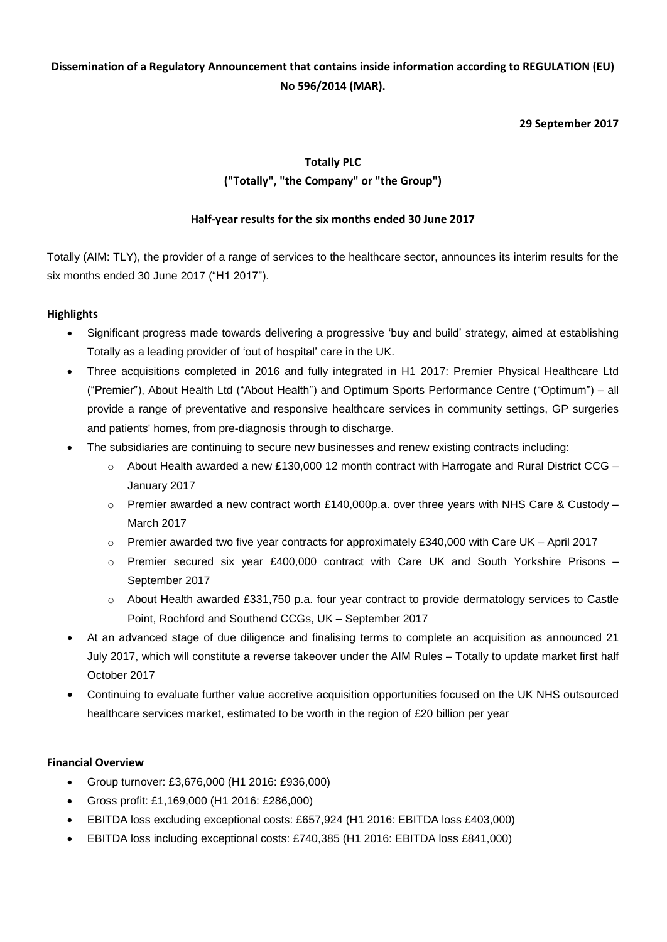## **Dissemination of a Regulatory Announcement that contains inside information according to REGULATION (EU) No 596/2014 (MAR).**

## **29 September 2017**

# **Totally PLC ("Totally", "the Company" or "the Group")**

## **Half-year results for the six months ended 30 June 2017**

Totally (AIM: TLY), the provider of a range of services to the healthcare sector, announces its interim results for the six months ended 30 June 2017 ("H1 2017").

## **Highlights**

- Significant progress made towards delivering a progressive 'buy and build' strategy, aimed at establishing Totally as a leading provider of 'out of hospital' care in the UK.
- Three acquisitions completed in 2016 and fully integrated in H1 2017: Premier Physical Healthcare Ltd ("Premier"), About Health Ltd ("About Health") and Optimum Sports Performance Centre ("Optimum") – all provide a range of preventative and responsive healthcare services in community settings, GP surgeries and patients' homes, from pre-diagnosis through to discharge.
- The subsidiaries are continuing to secure new businesses and renew existing contracts including:
	- $\circ$  About Health awarded a new £130,000 12 month contract with Harrogate and Rural District CCG January 2017
	- $\circ$  Premier awarded a new contract worth £140,000p.a. over three years with NHS Care & Custody March 2017
	- $\circ$  Premier awarded two five year contracts for approximately £340,000 with Care UK April 2017
	- $\circ$  Premier secured six year £400,000 contract with Care UK and South Yorkshire Prisons September 2017
	- o About Health awarded £331,750 p.a. four year contract to provide dermatology services to Castle Point, Rochford and Southend CCGs, UK – September 2017
- At an advanced stage of due diligence and finalising terms to complete an acquisition as announced 21 July 2017, which will constitute a reverse takeover under the AIM Rules – Totally to update market first half October 2017
- Continuing to evaluate further value accretive acquisition opportunities focused on the UK NHS outsourced healthcare services market, estimated to be worth in the region of £20 billion per year

## **Financial Overview**

- Group turnover: £3,676,000 (H1 2016: £936,000)
- Gross profit: £1,169,000 (H1 2016: £286,000)
- EBITDA loss excluding exceptional costs: £657,924 (H1 2016: EBITDA loss £403,000)
- EBITDA loss including exceptional costs: £740,385 (H1 2016: EBITDA loss £841,000)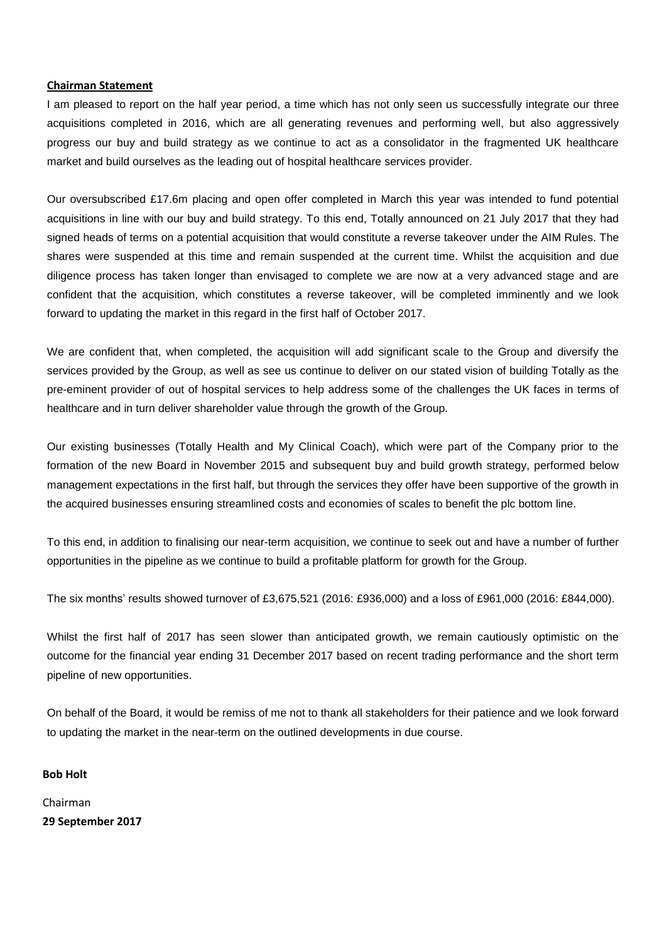#### **Chairman Statement**

I am pleased to report on the half year period, a time which has not only seen us successfully integrate our three acquisitions completed in 2016, which are all generating revenues and performing well, but also aggressively progress our buy and build strategy as we continue to act as a consolidator in the fragmented UK healthcare market and build ourselves as the leading out of hospital healthcare services provider.

Our oversubscribed £17.6m placing and open offer completed in March this year was intended to fund potential acquisitions in line with our buy and build strategy. To this end, Totally announced on 21 July 2017 that they had signed heads of terms on a potential acquisition that would constitute a reverse takeover under the AIM Rules. The shares were suspended at this time and remain suspended at the current time. Whilst the acquisition and due diligence process has taken longer than envisaged to complete we are now at a very advanced stage and are confident that the acquisition, which constitutes a reverse takeover, will be completed imminently and we look forward to updating the market in this regard in the first half of October 2017.

We are confident that, when completed, the acquisition will add significant scale to the Group and diversify the services provided by the Group, as well as see us continue to deliver on our stated vision of building Totally as the pre-eminent provider of out of hospital services to help address some of the challenges the UK faces in terms of healthcare and in turn deliver shareholder value through the growth of the Group.

Our existing businesses (Totally Health and My Clinical Coach), which were part of the Company prior to the formation of the new Board in November 2015 and subsequent buy and build growth strategy, performed below management expectations in the first half, but through the services they offer have been supportive of the growth in the acquired businesses ensuring streamlined costs and economies of scales to benefit the plc bottom line.

To this end, in addition to finalising our near-term acquisition, we continue to seek out and have a number of further opportunities in the pipeline as we continue to build a profitable platform for growth for the Group.

The six months' results showed turnover of £3,675,521 (2016: £936,000) and a loss of £961,000 (2016: £844,000).

Whilst the first half of 2017 has seen slower than anticipated growth, we remain cautiously optimistic on the outcome for the financial year ending 31 December 2017 based on recent trading performance and the short term pipeline of new opportunities.

On behalf of the Board, it would be remiss of me not to thank all stakeholders for their patience and we look forward to updating the market in the near-term on the outlined developments in due course.

### **Bob Holt**

Chairman **29 September 2017**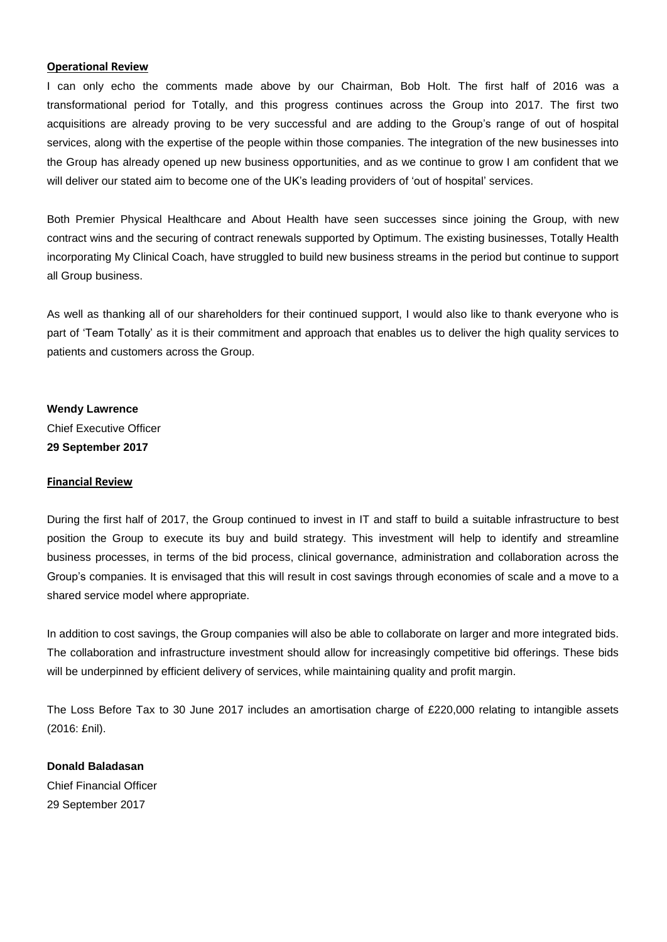#### **Operational Review**

I can only echo the comments made above by our Chairman, Bob Holt. The first half of 2016 was a transformational period for Totally, and this progress continues across the Group into 2017. The first two acquisitions are already proving to be very successful and are adding to the Group's range of out of hospital services, along with the expertise of the people within those companies. The integration of the new businesses into the Group has already opened up new business opportunities, and as we continue to grow I am confident that we will deliver our stated aim to become one of the UK's leading providers of 'out of hospital' services.

Both Premier Physical Healthcare and About Health have seen successes since joining the Group, with new contract wins and the securing of contract renewals supported by Optimum. The existing businesses, Totally Health incorporating My Clinical Coach, have struggled to build new business streams in the period but continue to support all Group business.

As well as thanking all of our shareholders for their continued support, I would also like to thank everyone who is part of 'Team Totally' as it is their commitment and approach that enables us to deliver the high quality services to patients and customers across the Group.

**Wendy Lawrence** Chief Executive Officer **29 September 2017**

#### **Financial Review**

During the first half of 2017, the Group continued to invest in IT and staff to build a suitable infrastructure to best position the Group to execute its buy and build strategy. This investment will help to identify and streamline business processes, in terms of the bid process, clinical governance, administration and collaboration across the Group's companies. It is envisaged that this will result in cost savings through economies of scale and a move to a shared service model where appropriate.

In addition to cost savings, the Group companies will also be able to collaborate on larger and more integrated bids. The collaboration and infrastructure investment should allow for increasingly competitive bid offerings. These bids will be underpinned by efficient delivery of services, while maintaining quality and profit margin.

The Loss Before Tax to 30 June 2017 includes an amortisation charge of £220,000 relating to intangible assets (2016: £nil).

**Donald Baladasan** Chief Financial Officer 29 September 2017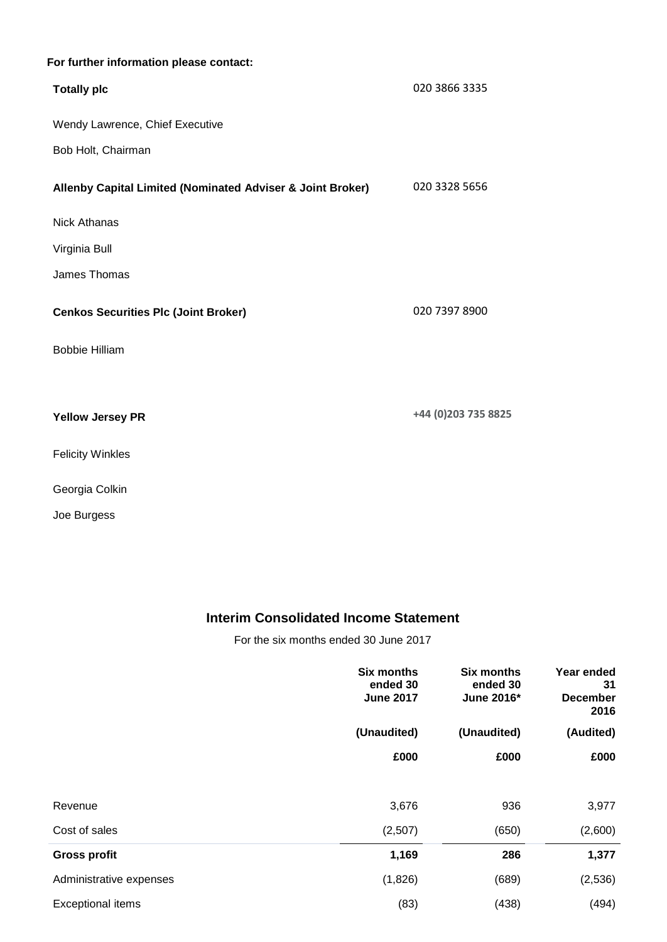## **For further information please contact:**

| <b>Totally plc</b>                                         | 020 3866 3335       |
|------------------------------------------------------------|---------------------|
| Wendy Lawrence, Chief Executive                            |                     |
| Bob Holt, Chairman                                         |                     |
| Allenby Capital Limited (Nominated Adviser & Joint Broker) | 020 3328 5656       |
| <b>Nick Athanas</b>                                        |                     |
| Virginia Bull                                              |                     |
| James Thomas                                               |                     |
| <b>Cenkos Securities Plc (Joint Broker)</b>                | 020 7397 8900       |
| <b>Bobbie Hilliam</b>                                      |                     |
|                                                            |                     |
| <b>Yellow Jersey PR</b>                                    | +44 (0)203 735 8825 |
| <b>Felicity Winkles</b>                                    |                     |
| Georgia Colkin                                             |                     |

Joe Burgess

# **Interim Consolidated Income Statement**

For the six months ended 30 June 2017

|                          | <b>Six months</b><br>ended 30<br><b>June 2017</b> | <b>Six months</b><br>ended 30<br>June 2016* | Year ended<br>31<br><b>December</b><br>2016 |
|--------------------------|---------------------------------------------------|---------------------------------------------|---------------------------------------------|
|                          | (Unaudited)                                       | (Unaudited)                                 | (Audited)                                   |
|                          | £000                                              | £000                                        | £000                                        |
|                          |                                                   |                                             |                                             |
| Revenue                  | 3,676                                             | 936                                         | 3,977                                       |
| Cost of sales            | (2,507)                                           | (650)                                       | (2,600)                                     |
| <b>Gross profit</b>      | 1,169                                             | 286                                         | 1,377                                       |
| Administrative expenses  | (1,826)                                           | (689)                                       | (2,536)                                     |
| <b>Exceptional items</b> | (83)                                              | (438)                                       | (494)                                       |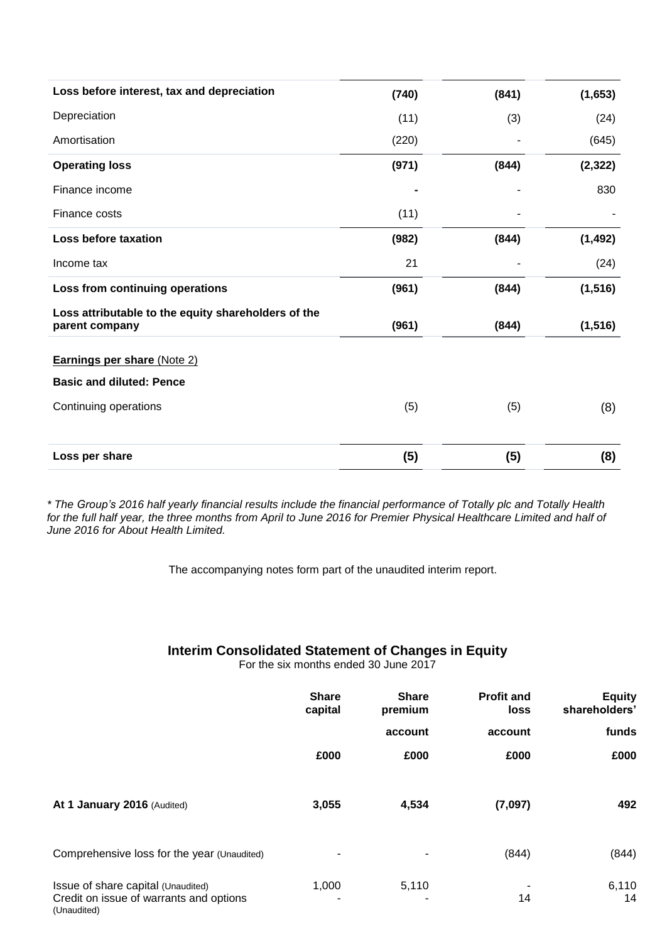| Loss before interest, tax and depreciation                            | (740) | (841) | (1,653)  |
|-----------------------------------------------------------------------|-------|-------|----------|
| Depreciation                                                          | (11)  | (3)   | (24)     |
| Amortisation                                                          | (220) |       | (645)    |
| <b>Operating loss</b>                                                 | (971) | (844) | (2, 322) |
| Finance income                                                        |       |       | 830      |
| Finance costs                                                         | (11)  |       |          |
| <b>Loss before taxation</b>                                           | (982) | (844) | (1, 492) |
| Income tax                                                            | 21    |       | (24)     |
| Loss from continuing operations                                       | (961) | (844) | (1, 516) |
| Loss attributable to the equity shareholders of the<br>parent company | (961) | (844) | (1, 516) |
| <b>Earnings per share (Note 2)</b>                                    |       |       |          |
| <b>Basic and diluted: Pence</b>                                       |       |       |          |
| Continuing operations                                                 | (5)   | (5)   | (8)      |
| Loss per share                                                        | (5)   | (5)   | (8)      |

\* The Group's 2016 half yearly financial results include the financial performance of Totally plc and Totally Health for the full half year, the three months from April to June 2016 for Premier Physical Healthcare Limited and half of *June 2016 for About Health Limited.*

The accompanying notes form part of the unaudited interim report.

## **Interim Consolidated Statement of Changes in Equity**

For the six months ended 30 June 2017

|                                                                                              | <b>Share</b><br>capital | <b>Share</b><br>premium | <b>Profit and</b><br>loss | <b>Equity</b><br>shareholders' |
|----------------------------------------------------------------------------------------------|-------------------------|-------------------------|---------------------------|--------------------------------|
|                                                                                              |                         | account                 | account                   | funds                          |
|                                                                                              | £000                    | £000                    | £000                      | £000                           |
| At 1 January 2016 (Audited)                                                                  | 3,055                   | 4,534                   | (7,097)                   | 492                            |
| Comprehensive loss for the year (Unaudited)                                                  |                         |                         | (844)                     | (844)                          |
| Issue of share capital (Unaudited)<br>Credit on issue of warrants and options<br>(Unaudited) | 1,000                   | 5,110                   | 14                        | 6,110<br>14                    |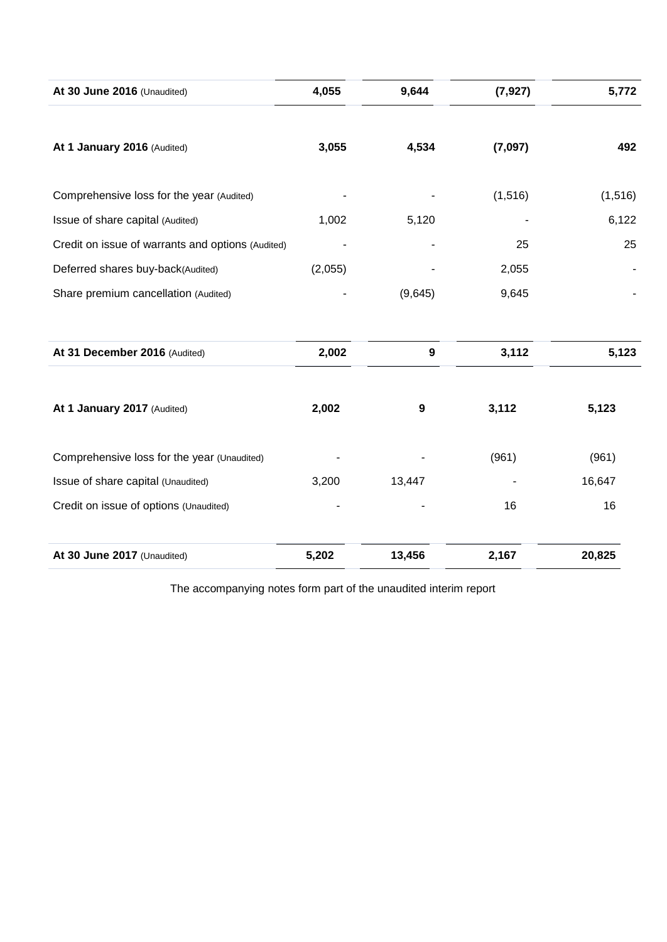| At 30 June 2016 (Unaudited)                       | 4,055   | 9,644            | (7, 927) | 5,772    |
|---------------------------------------------------|---------|------------------|----------|----------|
|                                                   |         |                  |          |          |
| At 1 January 2016 (Audited)                       | 3,055   | 4,534            | (7,097)  | 492      |
| Comprehensive loss for the year (Audited)         |         |                  | (1, 516) | (1, 516) |
| Issue of share capital (Audited)                  | 1,002   | 5,120            |          | 6,122    |
| Credit on issue of warrants and options (Audited) |         |                  | 25       | 25       |
| Deferred shares buy-back(Audited)                 | (2,055) |                  | 2,055    |          |
| Share premium cancellation (Audited)              |         | (9,645)          | 9,645    |          |
|                                                   |         |                  |          |          |
| At 31 December 2016 (Audited)                     | 2,002   | $\boldsymbol{9}$ | 3,112    | 5,123    |
| At 1 January 2017 (Audited)                       | 2,002   | 9                | 3,112    | 5,123    |
|                                                   |         |                  |          |          |
| Comprehensive loss for the year (Unaudited)       |         |                  | (961)    | (961)    |
| Issue of share capital (Unaudited)                | 3,200   | 13,447           |          | 16,647   |
| Credit on issue of options (Unaudited)            |         |                  | 16       | 16       |
| At 30 June 2017 (Unaudited)                       | 5,202   | 13,456           | 2,167    | 20,825   |

The accompanying notes form part of the unaudited interim report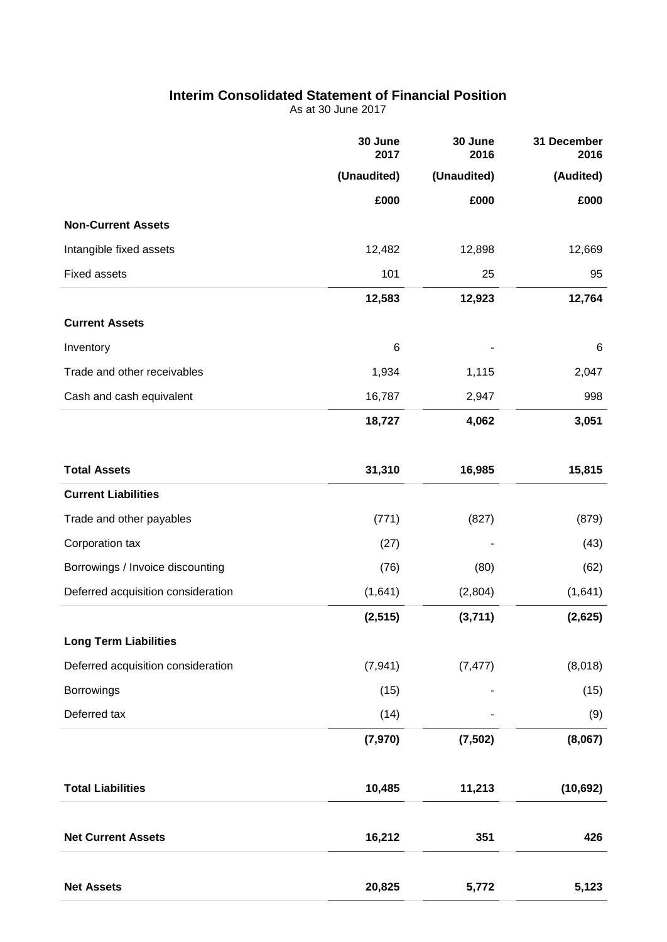# **Interim Consolidated Statement of Financial Position**

As at 30 June 2017

|                                    | 30 June<br>2017 | 30 June<br>2016 | 31 December<br>2016 |
|------------------------------------|-----------------|-----------------|---------------------|
|                                    | (Unaudited)     | (Unaudited)     | (Audited)           |
|                                    | £000            | £000            | £000                |
| <b>Non-Current Assets</b>          |                 |                 |                     |
| Intangible fixed assets            | 12,482          | 12,898          | 12,669              |
| <b>Fixed assets</b>                | 101             | 25              | 95                  |
|                                    | 12,583          | 12,923          | 12,764              |
| <b>Current Assets</b>              |                 |                 |                     |
| Inventory                          | 6               |                 | 6                   |
| Trade and other receivables        | 1,934           | 1,115           | 2,047               |
| Cash and cash equivalent           | 16,787          | 2,947           | 998                 |
|                                    | 18,727          | 4,062           | 3,051               |
| <b>Total Assets</b>                | 31,310          | 16,985          | 15,815              |
| <b>Current Liabilities</b>         |                 |                 |                     |
| Trade and other payables           | (771)           | (827)           | (879)               |
| Corporation tax                    | (27)            |                 | (43)                |
| Borrowings / Invoice discounting   | (76)            | (80)            | (62)                |
| Deferred acquisition consideration | (1,641)         | (2,804)         | (1,641)             |
|                                    | (2, 515)        | (3,711)         | (2,625)             |
| <b>Long Term Liabilities</b>       |                 |                 |                     |
| Deferred acquisition consideration | (7, 941)        | (7, 477)        | (8,018)             |
| Borrowings                         | (15)            |                 | (15)                |
| Deferred tax                       | (14)            |                 | (9)                 |
|                                    | (7, 970)        | (7, 502)        | (8,067)             |
| <b>Total Liabilities</b>           | 10,485          | 11,213          | (10, 692)           |
| <b>Net Current Assets</b>          | 16,212          | 351             | 426                 |
| <b>Net Assets</b>                  | 20,825          | 5,772           | 5,123               |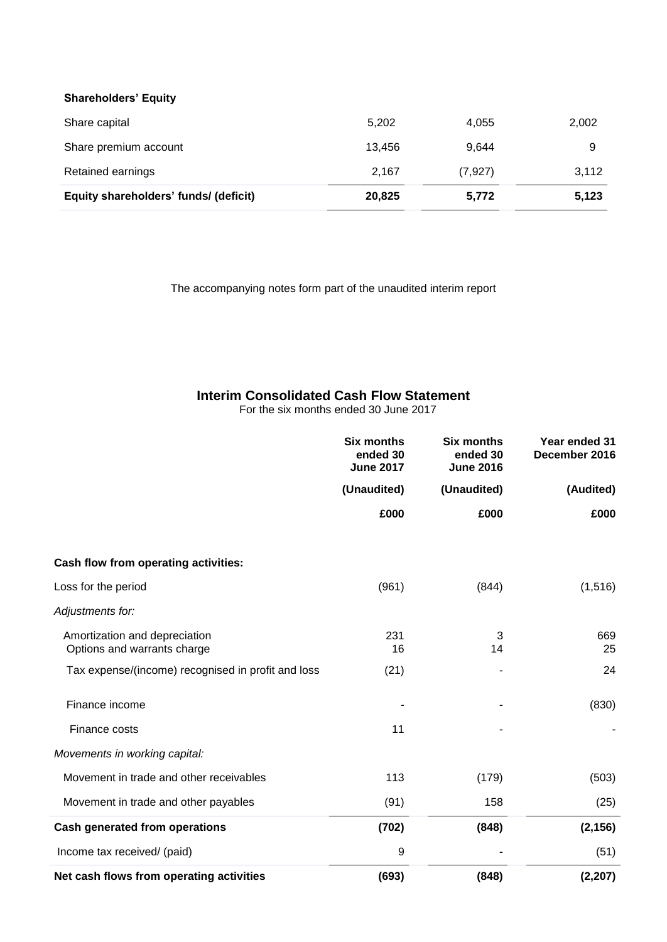### **Shareholders' Equity**

| Share capital                         | 5,202  | 4,055    | 2,002 |
|---------------------------------------|--------|----------|-------|
| Share premium account                 | 13.456 | 9.644    | 9     |
| Retained earnings                     | 2,167  | (7, 927) | 3,112 |
| Equity shareholders' funds/ (deficit) | 20,825 | 5,772    | 5,123 |

The accompanying notes form part of the unaudited interim report

## **Interim Consolidated Cash Flow Statement**

For the six months ended 30 June 2017

|                                                              | <b>Six months</b><br>ended 30<br><b>June 2017</b> | <b>Six months</b><br>ended 30<br><b>June 2016</b> |           | Year ended 31<br>December 2016 |  |
|--------------------------------------------------------------|---------------------------------------------------|---------------------------------------------------|-----------|--------------------------------|--|
|                                                              | (Unaudited)                                       | (Unaudited)                                       | (Audited) |                                |  |
|                                                              | £000                                              | £000                                              | £000      |                                |  |
| Cash flow from operating activities:                         |                                                   |                                                   |           |                                |  |
| Loss for the period                                          | (961)                                             | (844)                                             | (1,516)   |                                |  |
| Adjustments for:                                             |                                                   |                                                   |           |                                |  |
| Amortization and depreciation<br>Options and warrants charge | 231<br>16                                         | 3<br>14                                           | 669<br>25 |                                |  |
| Tax expense/(income) recognised in profit and loss           | (21)                                              |                                                   | 24        |                                |  |
| Finance income                                               |                                                   |                                                   | (830)     |                                |  |
| Finance costs                                                | 11                                                |                                                   |           |                                |  |
| Movements in working capital:                                |                                                   |                                                   |           |                                |  |
| Movement in trade and other receivables                      | 113                                               | (179)                                             | (503)     |                                |  |
| Movement in trade and other payables                         | (91)                                              | 158                                               | (25)      |                                |  |
| <b>Cash generated from operations</b>                        | (702)                                             | (848)                                             | (2, 156)  |                                |  |
| Income tax received/ (paid)                                  | 9                                                 |                                                   | (51)      |                                |  |
| Net cash flows from operating activities                     | (693)                                             | (848)                                             | (2, 207)  |                                |  |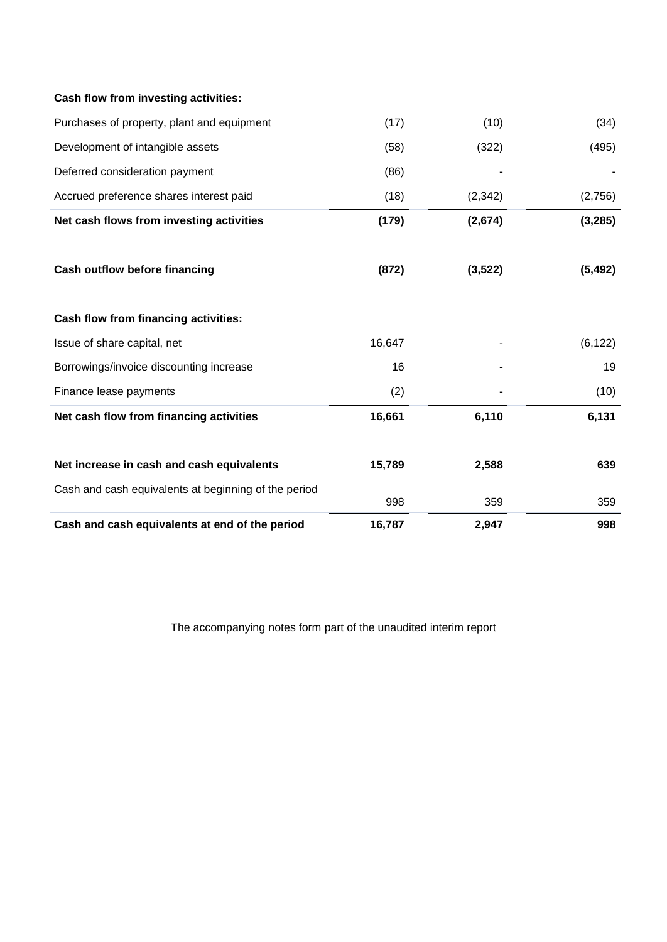| Cash and cash equivalents at end of the period       | 16,787 | 2,947    | 998      |
|------------------------------------------------------|--------|----------|----------|
| Cash and cash equivalents at beginning of the period | 998    | 359      | 359      |
| Net increase in cash and cash equivalents            | 15,789 | 2,588    | 639      |
| Net cash flow from financing activities              | 16,661 | 6,110    | 6,131    |
| Finance lease payments                               | (2)    |          | (10)     |
| Borrowings/invoice discounting increase              | 16     |          | 19       |
| Issue of share capital, net                          | 16,647 |          | (6, 122) |
| Cash flow from financing activities:                 |        |          |          |
| <b>Cash outflow before financing</b>                 | (872)  | (3, 522) | (5, 492) |
| Net cash flows from investing activities             | (179)  | (2,674)  | (3, 285) |
| Accrued preference shares interest paid              | (18)   | (2,342)  | (2,756)  |
| Deferred consideration payment                       | (86)   |          |          |
| Development of intangible assets                     | (58)   | (322)    | (495)    |
| Purchases of property, plant and equipment           | (17)   | (10)     | (34)     |

The accompanying notes form part of the unaudited interim report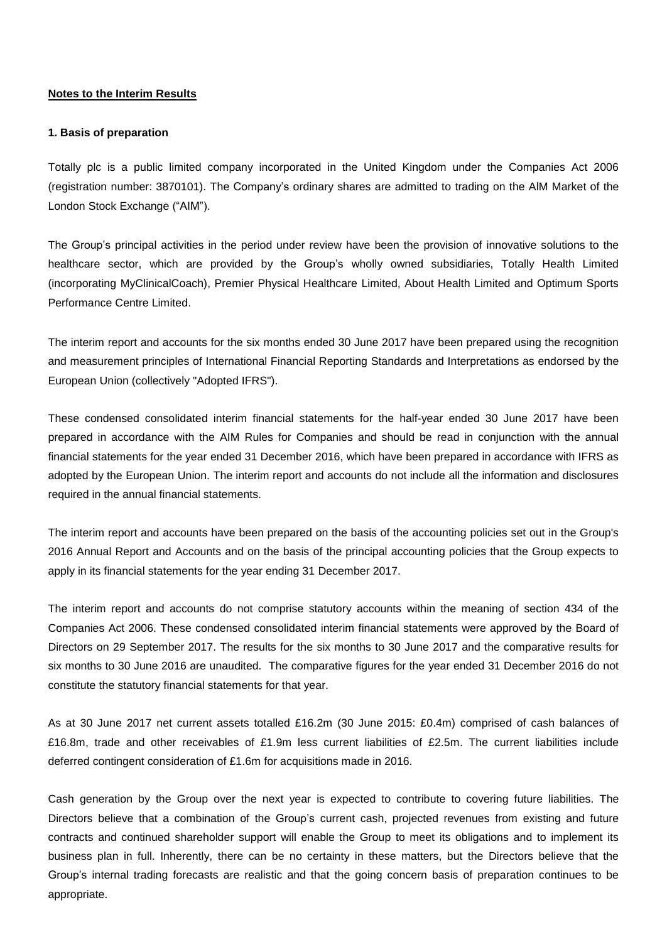#### **Notes to the Interim Results**

#### **1. Basis of preparation**

Totally plc is a public limited company incorporated in the United Kingdom under the Companies Act 2006 (registration number: 3870101). The Company's ordinary shares are admitted to trading on the AlM Market of the London Stock Exchange ("AIM").

The Group's principal activities in the period under review have been the provision of innovative solutions to the healthcare sector, which are provided by the Group's wholly owned subsidiaries, Totally Health Limited (incorporating MyClinicalCoach), Premier Physical Healthcare Limited, About Health Limited and Optimum Sports Performance Centre Limited.

The interim report and accounts for the six months ended 30 June 2017 have been prepared using the recognition and measurement principles of International Financial Reporting Standards and Interpretations as endorsed by the European Union (collectively "Adopted IFRS").

These condensed consolidated interim financial statements for the half-year ended 30 June 2017 have been prepared in accordance with the AIM Rules for Companies and should be read in conjunction with the annual financial statements for the year ended 31 December 2016, which have been prepared in accordance with IFRS as adopted by the European Union. The interim report and accounts do not include all the information and disclosures required in the annual financial statements.

The interim report and accounts have been prepared on the basis of the accounting policies set out in the Group's 2016 Annual Report and Accounts and on the basis of the principal accounting policies that the Group expects to apply in its financial statements for the year ending 31 December 2017.

The interim report and accounts do not comprise statutory accounts within the meaning of section 434 of the Companies Act 2006. These condensed consolidated interim financial statements were approved by the Board of Directors on 29 September 2017. The results for the six months to 30 June 2017 and the comparative results for six months to 30 June 2016 are unaudited. The comparative figures for the year ended 31 December 2016 do not constitute the statutory financial statements for that year.

As at 30 June 2017 net current assets totalled £16.2m (30 June 2015: £0.4m) comprised of cash balances of £16.8m, trade and other receivables of £1.9m less current liabilities of £2.5m. The current liabilities include deferred contingent consideration of £1.6m for acquisitions made in 2016.

Cash generation by the Group over the next year is expected to contribute to covering future liabilities. The Directors believe that a combination of the Group's current cash, projected revenues from existing and future contracts and continued shareholder support will enable the Group to meet its obligations and to implement its business plan in full. Inherently, there can be no certainty in these matters, but the Directors believe that the Group's internal trading forecasts are realistic and that the going concern basis of preparation continues to be appropriate.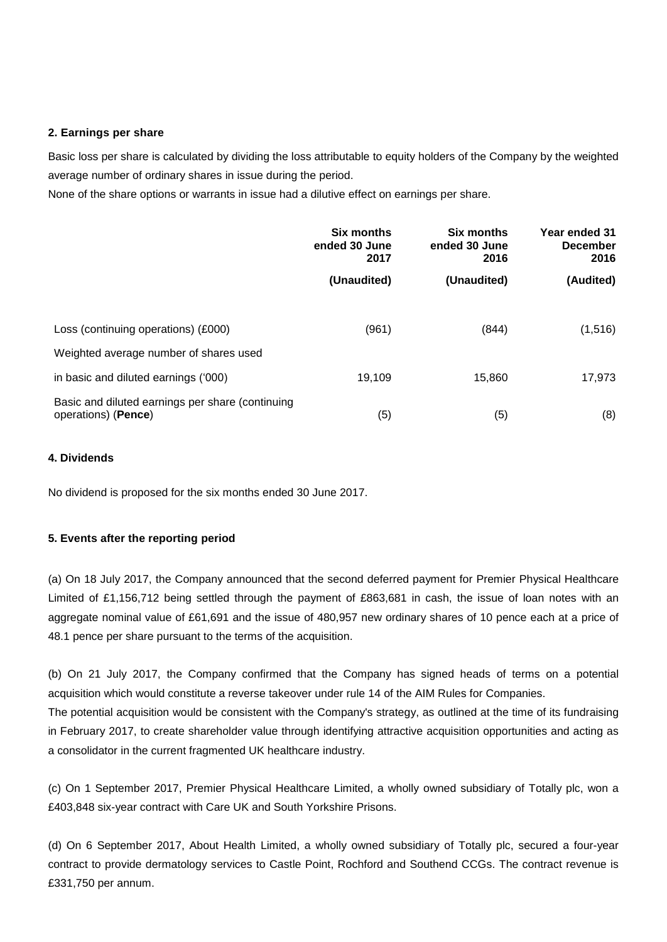#### **2. Earnings per share**

Basic loss per share is calculated by dividing the loss attributable to equity holders of the Company by the weighted average number of ordinary shares in issue during the period.

None of the share options or warrants in issue had a dilutive effect on earnings per share.

|                                                                                | <b>Six months</b><br>ended 30 June<br>2017 | Six months<br>ended 30 June<br>2016 | Year ended 31<br><b>December</b><br>2016 |
|--------------------------------------------------------------------------------|--------------------------------------------|-------------------------------------|------------------------------------------|
|                                                                                | (Unaudited)                                | (Unaudited)                         | (Audited)                                |
| Loss (continuing operations) (£000)                                            | (961)                                      | (844)                               | (1, 516)                                 |
| Weighted average number of shares used<br>in basic and diluted earnings ('000) | 19,109                                     | 15,860                              | 17,973                                   |
| Basic and diluted earnings per share (continuing<br>operations) (Pence)        | (5)                                        | (5)                                 | (8)                                      |

#### **4. Dividends**

No dividend is proposed for the six months ended 30 June 2017.

### **5. Events after the reporting period**

(a) On 18 July 2017, the Company announced that the second deferred payment for Premier Physical Healthcare Limited of £1,156,712 being settled through the payment of £863,681 in cash, the issue of loan notes with an aggregate nominal value of £61,691 and the issue of 480,957 new ordinary shares of 10 pence each at a price of 48.1 pence per share pursuant to the terms of the acquisition.

(b) On 21 July 2017, the Company confirmed that the Company has signed heads of terms on a potential acquisition which would constitute a reverse takeover under rule 14 of the AIM Rules for Companies. The potential acquisition would be consistent with the Company's strategy, as outlined at the time of its fundraising in February 2017, to create shareholder value through identifying attractive acquisition opportunities and acting as a consolidator in the current fragmented UK healthcare industry.

(c) On 1 September 2017, Premier Physical Healthcare Limited, a wholly owned subsidiary of Totally plc, won a £403,848 six-year contract with Care UK and South Yorkshire Prisons.

(d) On 6 September 2017, About Health Limited, a wholly owned subsidiary of Totally plc, secured a four-year contract to provide dermatology services to Castle Point, Rochford and Southend CCGs. The contract revenue is £331,750 per annum.